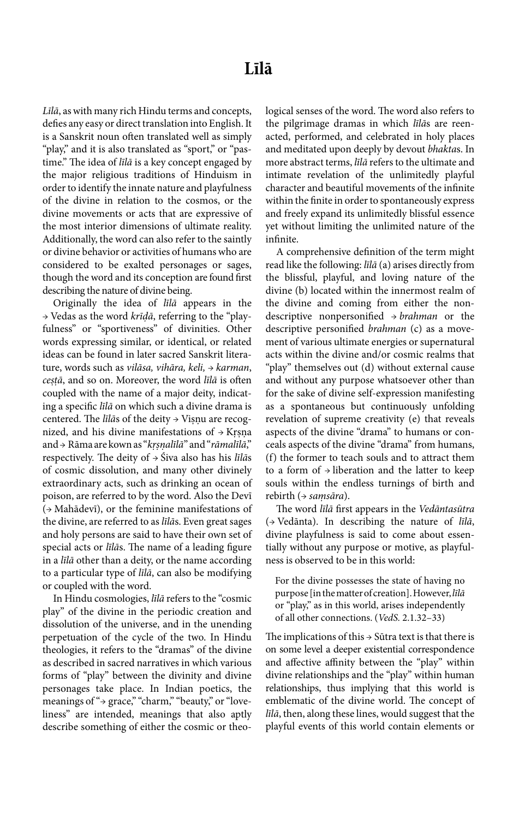*Līlā*, as with many rich Hindu terms and concepts, defies any easy or direct translation into English. It is a Sanskrit noun often translated well as simply "play," and it is also translated as "sport," or "pastime." The idea of *līlā* is a key concept engaged by the major religious traditions of Hinduism in order to identify the innate nature and playfulness of the divine in relation to the cosmos, or the divine movements or acts that are expressive of the most interior dimensions of ultimate reality. Additionally, the word can also refer to the saintly or divine behavior or activities of humans who are considered to be exalted personages or sages, though the word and its conception are found first describing the nature of divine being.

Originally the idea of *līlā* appears in the → Vedas as the word *krīḍā*, referring to the "playfulness" or "sportiveness" of divinities. Other words expressing similar, or identical, or related ideas can be found in later sacred Sanskrit literature, words such as *vilāsa, vihāra, keli,* → *karman*, *cesṭạ̄* , and so on. Moreover, the word *līlā* is often coupled with the name of a major deity, indicating a specific *līlā* on which such a divine drama is centered. The *līlās* of the deity → Viṣṇu are recognized, and his divine manifestations of  $\rightarrow$  Krsna and → Rāma are kown as "*krṣ ṇ alīlā ̣* " and "*rāmalīlā*," respectively. The deity of → Śiva also has his *līlā*s of cosmic dissolution, and many other divinely extraordinary acts, such as drinking an ocean of poison, are referred to by the word. Also the Devī (→ Mahādevī), or the feminine manifestations of the divine, are referred to as *līlā*s. Even great sages and holy persons are said to have their own set of special acts or *līlā*s. The name of a leading figure in a *līlā* other than a deity, or the name according to a particular type of *līlā*, can also be modifying or coupled with the word.

In Hindu cosmologies, *līlā* refers to the "cosmic play" of the divine in the periodic creation and dissolution of the universe, and in the unending perpetuation of the cycle of the two. In Hindu theologies, it refers to the "dramas" of the divine as described in sacred narratives in which various forms of "play" between the divinity and divine personages take place. In Indian poetics, the meanings of "→ grace," "charm," "beauty," or "loveliness" are intended, meanings that also aptly describe something of either the cosmic or theological senses of the word. The word also refers to the pilgrimage dramas in which *līlā*s are reenacted, performed, and celebrated in holy places and meditated upon deeply by devout *bhakta*s. In more abstract terms, *līlā* refers to the ultimate and intimate revelation of the unlimitedly playful character and beautiful movements of the infinite within the finite in order to spontaneously express and freely expand its unlimitedly blissful essence yet without limiting the unlimited nature of the infinite.

A comprehensive definition of the term might read like the following: *līlā* (a) arises directly from the blissful, playful, and loving nature of the divine (b) located within the innermost realm of the divine and coming from either the nondescriptive nonpersonified → *brahman* or the descriptive personified *brahman* (c) as a movement of various ultimate energies or supernatural acts within the divine and/or cosmic realms that "play" themselves out (d) without external cause and without any purpose whatsoever other than for the sake of divine self-expression manifesting as a spontaneous but continuously unfolding revelation of supreme creativity (e) that reveals aspects of the divine "drama" to humans or conceals aspects of the divine "drama" from humans, (f) the former to teach souls and to attract them to a form of → liberation and the latter to keep souls within the endless turnings of birth and rebirth (→ *saṃsāra*).

The word *līlā* first appears in the *Vedāntasūtra* (→ Vedānta). In describing the nature of *līlā*, divine playfulness is said to come about essentially without any purpose or motive, as playfulness is observed to be in this world:

For the divine possesses the state of having no purpose [in the matter of creation]. However, *līlā* or "play," as in this world, arises independently of all other connections. (*VedS.* 2.1.32–33)

The implications of this  $\rightarrow$  Sūtra text is that there is on some level a deeper existential correspondence and affective affinity between the "play" within divine relationships and the "play" within human relationships, thus implying that this world is emblematic of the divine world. The concept of *līlā*, then, along these lines, would suggest that the playful events of this world contain elements or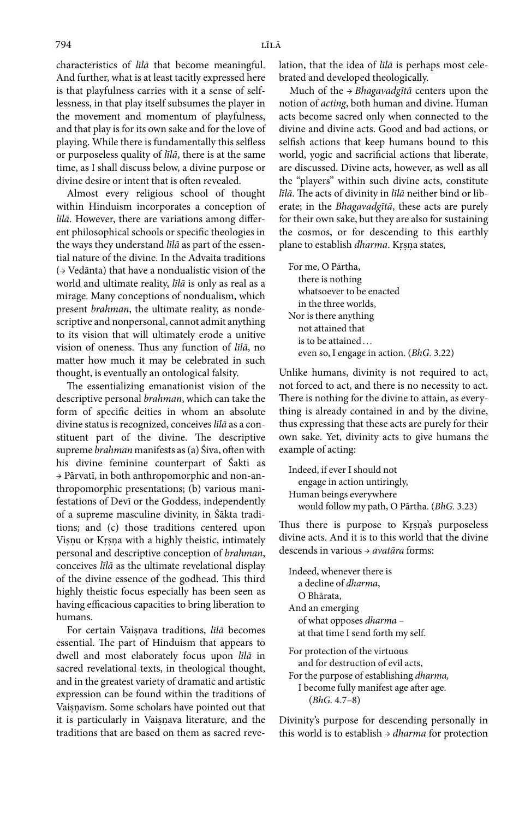characteristics of *līlā* that become meaningful. And further, what is at least tacitly expressed here is that playfulness carries with it a sense of selflessness, in that play itself subsumes the player in the movement and momentum of playfulness, and that play is for its own sake and for the love of playing. While there is fundamentally this selfless or purposeless quality of *līlā*, there is at the same time, as I shall discuss below, a divine purpose or divine desire or intent that is often revealed.

Almost every religious school of thought within Hinduism incorporates a conception of *līlā*. However, there are variations among different philosophical schools or specific theologies in the ways they understand *līlā* as part of the essential nature of the divine. In the Advaita traditions (→ Vedānta) that have a nondualistic vision of the world and ultimate reality, *līlā* is only as real as a mirage. Many conceptions of nondualism, which present *brahman*, the ultimate reality, as nondescriptive and nonpersonal, cannot admit anything to its vision that will ultimately erode a unitive vision of oneness. Thus any function of *līlā*, no matter how much it may be celebrated in such thought, is eventually an ontological falsity.

The essentializing emanationist vision of the descriptive personal *brahman*, which can take the form of specific deities in whom an absolute divine status is recognized, conceives *līlā* as a constituent part of the divine. The descriptive supreme *brahman* manifests as (a) Śiva, often with his divine feminine counterpart of Śakti as → Pārvatī, in both anthropomorphic and non-anthropomorphic presentations; (b) various manifestations of Devī or the Goddess, independently of a supreme masculine divinity, in Śākta traditions; and (c) those traditions centered upon Visnu or Krsna with a highly theistic, intimately personal and descriptive conception of *brahman*, conceives *līlā* as the ultimate revelational display of the divine essence of the godhead. This third highly theistic focus especially has been seen as having efficacious capacities to bring liberation to humans.

For certain Vaisnava traditions, *līlā* becomes essential. The part of Hinduism that appears to dwell and most elaborately focus upon *līlā* in sacred revelational texts, in theological thought, and in the greatest variety of dramatic and artistic expression can be found within the traditions of Vaisnavism. Some scholars have pointed out that it is particularly in Vaisnava literature, and the traditions that are based on them as sacred revelation, that the idea of *līlā* is perhaps most celebrated and developed theologically.

Much of the → *Bhagavadgītā* centers upon the notion of *acting*, both human and divine. Human acts become sacred only when connected to the divine and divine acts. Good and bad actions, or selfish actions that keep humans bound to this world, yogic and sacrificial actions that liberate, are discussed. Divine acts, however, as well as all the "players" within such divine acts, constitute *līlā*. The acts of divinity in *līlā* neither bind or liberate; in the *Bhagavadgītā*, these acts are purely for their own sake, but they are also for sustaining the cosmos, or for descending to this earthly plane to establish *dharma*. Krsna states,

For me, O Pārtha, there is nothing whatsoever to be enacted in the three worlds, Nor is there anything not attained that is to be attained ... even so, I engage in action. (*BhG.* 3.22)

Unlike humans, divinity is not required to act, not forced to act, and there is no necessity to act. There is nothing for the divine to attain, as everything is already contained in and by the divine, thus expressing that these acts are purely for their own sake. Yet, divinity acts to give humans the example of acting:

```
Indeed, if ever I should not 
   engage in action untiringly, 
Human beings everywhere
   would follow my path, O Pārtha. (BhG. 3.23)
```
Thus there is purpose to Krsna's purposeless divine acts. And it is to this world that the divine descends in various → *avatāra* forms:

Indeed, whenever there is a decline of *dharma*, O Bhārata, And an emerging of what opposes *dharma* – at that time I send forth my self. For protection of the virtuous and for destruction of evil acts, For the purpose of establishing *dharma,* I become fully manifest age after age.

(*BhG.* 4.7–8)

Divinity's purpose for descending personally in this world is to establish → *dharma* for protection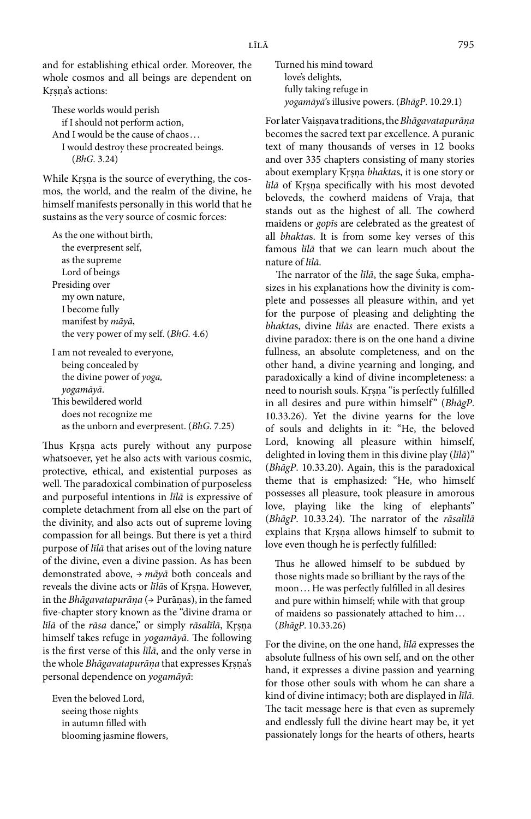and for establishing ethical order. Moreover, the whole cosmos and all beings are dependent on Krsna's actions:

These worlds would perish if I should not perform action, And I would be the cause of chaos . . . I would destroy these procreated beings. (*BhG.* 3.24)

While Krsna is the source of everything, the cosmos, the world, and the realm of the divine, he himself manifests personally in this world that he sustains as the very source of cosmic forces:

As the one without birth, the everpresent self, as the supreme Lord of beings Presiding over my own nature, I become fully manifest by *māyā*, the very power of my self. (*BhG.* 4.6)

I am not revealed to everyone, being concealed by the divine power of *yoga, yogamāyā*. This bewildered world does not recognize me as the unborn and everpresent. (*BhG.* 7.25)

Thus Krsna acts purely without any purpose whatsoever, yet he also acts with various cosmic, protective, ethical, and existential purposes as well. The paradoxical combination of purposeless and purposeful intentions in *līlā* is expressive of complete detachment from all else on the part of the divinity, and also acts out of supreme loving compassion for all beings. But there is yet a third purpose of *līlā* that arises out of the loving nature of the divine, even a divine passion. As has been demonstrated above, → *māyā* both conceals and reveals the divine acts or *līlās* of Krsna. However, in the *Bhāgavatapurānạ* (→ Purānas), in the famed ̣ five-chapter story known as the "divine drama or *līlā* of the *rāsa* dance," or simply *rāsalīlā*, Krsņa himself takes refuge in *yogamāyā*. The following is the first verse of this *līlā*, and the only verse in the whole *Bhāgavatapurāṇa* that expresses Krṣṇa's personal dependence on *yogamāyā*:

Even the beloved Lord, seeing those nights in autumn filled with blooming jasmine flowers, Turned his mind toward love's delights, fully taking refuge in  *yogamāyā*'s illusive powers. (*BhāgP*. 10.29.1)

For later Vaisnava traditions, the Bhāgavatapurāna becomes the sacred text par excellence. A puranic text of many thousands of verses in 12 books and over 335 chapters consisting of many stories about exemplary Krsna bhaktas, it is one story or *līlā* of Krsna specifically with his most devoted beloveds, the cowherd maidens of Vraja, that stands out as the highest of all. The cowherd maidens or *gopī*s are celebrated as the greatest of all *bhakta*s. It is from some key verses of this famous *līlā* that we can learn much about the nature of *līlā*.

The narrator of the *līlā*, the sage Śuka, emphasizes in his explanations how the divinity is complete and possesses all pleasure within, and yet for the purpose of pleasing and delighting the *bhakta*s, divine *līlās* are enacted. There exists a divine paradox: there is on the one hand a divine fullness, an absolute completeness, and on the other hand, a divine yearning and longing, and paradoxically a kind of divine incompleteness: a need to nourish souls. Krsna "is perfectly fulfilled in all desires and pure within himself" (*BhāgP*. 10.33.26). Yet the divine yearns for the love of souls and delights in it: "He, the beloved Lord, knowing all pleasure within himself, delighted in loving them in this divine play (*līlā*)" (*BhāgP*. 10.33.20). Again, this is the paradoxical theme that is emphasized: "He, who himself possesses all pleasure, took pleasure in amorous love, playing like the king of elephants" (*BhāgP*. 10.33.24). The narrator of the *rāsalīlā* explains that Krsna allows himself to submit to love even though he is perfectly fulfilled:

Thus he allowed himself to be subdued by those nights made so brilliant by the rays of the moon . . . He was perfectly fulfilled in all desires and pure within himself; while with that group of maidens so passionately attached to him... (*BhāgP*. 10.33.26)

For the divine, on the one hand, *līlā* expresses the absolute fullness of his own self, and on the other hand, it expresses a divine passion and yearning for those other souls with whom he can share a kind of divine intimacy; both are displayed in *līlā.* The tacit message here is that even as supremely and endlessly full the divine heart may be, it yet passionately longs for the hearts of others, hearts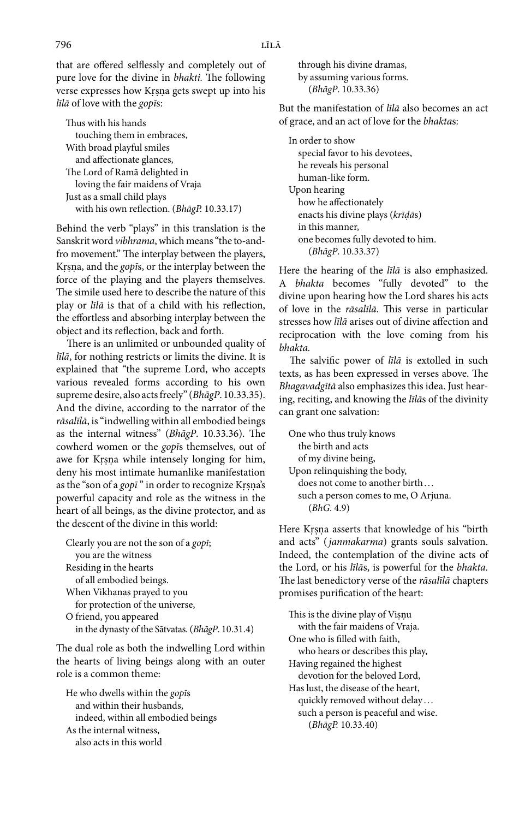that are offered selflessly and completely out of pure love for the divine in *bhakti.* The following verse expresses how Krsna gets swept up into his *līlā* of love with the *gopī*s:

Thus with his hands touching them in embraces, With broad playful smiles and affectionate glances, The Lord of Ramā delighted in loving the fair maidens of Vraja Just as a small child plays with his own reflection. (*BhāgP.* 10.33.17)

Behind the verb "plays" in this translation is the Sanskrit word *vibhrama*, which means "the to-andfro movement." The interplay between the players, Krsna, and the *gopīs*, or the interplay between the force of the playing and the players themselves. The simile used here to describe the nature of this play or *līlā* is that of a child with his reflection, the effortless and absorbing interplay between the object and its reflection, back and forth.

There is an unlimited or unbounded quality of *līlā*, for nothing restricts or limits the divine. It is explained that "the supreme Lord, who accepts various revealed forms according to his own supreme desire, also acts freely" (*BhāgP*. 10.33.35). And the divine, according to the narrator of the *rāsalīlā*, is "indwelling within all embodied beings as the internal witness" (*BhāgP*. 10.33.36). The cowherd women or the *gopī*s themselves, out of awe for Krsna while intensely longing for him, deny his most intimate humanlike manifestation as the "son of a *gop*<sup>7</sup>" in order to recognize Krsna's powerful capacity and role as the witness in the heart of all beings, as the divine protector, and as the descent of the divine in this world:

Clearly you are not the son of a *gopī*; you are the witness Residing in the hearts of all embodied beings. When Vikhanas prayed to you for protection of the universe, O friend, you appeared in the dynasty of the Sātvatas. (*BhāgP*. 10.31.4)

The dual role as both the indwelling Lord within the hearts of living beings along with an outer role is a common theme:

He who dwells within the *gopī*s and within their husbands, indeed, within all embodied beings As the internal witness, also acts in this world

 through his divine dramas, by assuming various forms. (*BhāgP*. 10.33.36)

But the manifestation of *līlā* also becomes an act of grace, and an act of love for the *bhakta*s:

In order to show special favor to his devotees, he reveals his personal human-like form. Upon hearing how he affectionately enacts his divine plays (*krīḍā*s) in this manner, one becomes fully devoted to him. (*BhāgP*. 10.33.37)

Here the hearing of the *līlā* is also emphasized. A *bhakta* becomes "fully devoted" to the divine upon hearing how the Lord shares his acts of love in the *rāsalīlā*. This verse in particular stresses how *līlā* arises out of divine affection and reciprocation with the love coming from his *bhakta.*

The salvific power of *līlā* is extolled in such texts, as has been expressed in verses above. The *Bhagavadgītā* also emphasizes this idea. Just hearing, reciting, and knowing the *līlā*s of the divinity can grant one salvation:

One who thus truly knows the birth and acts of my divine being, Upon relinquishing the body, does not come to another birth... such a person comes to me, O Arjuna. (*BhG.* 4.9)

Here Krsna asserts that knowledge of his "birth and acts" (*janmakarma*) grants souls salvation. Indeed, the contemplation of the divine acts of the Lord, or his *līlā*s, is powerful for the *bhakta.* The last benedictory verse of the *rāsalīlā* chapters promises purification of the heart:

This is the divine play of Visnu with the fair maidens of Vraja. One who is filled with faith, who hears or describes this play, Having regained the highest devotion for the beloved Lord, Has lust, the disease of the heart, quickly removed without delay ... such a person is peaceful and wise. (*BhāgP.* 10.33.40)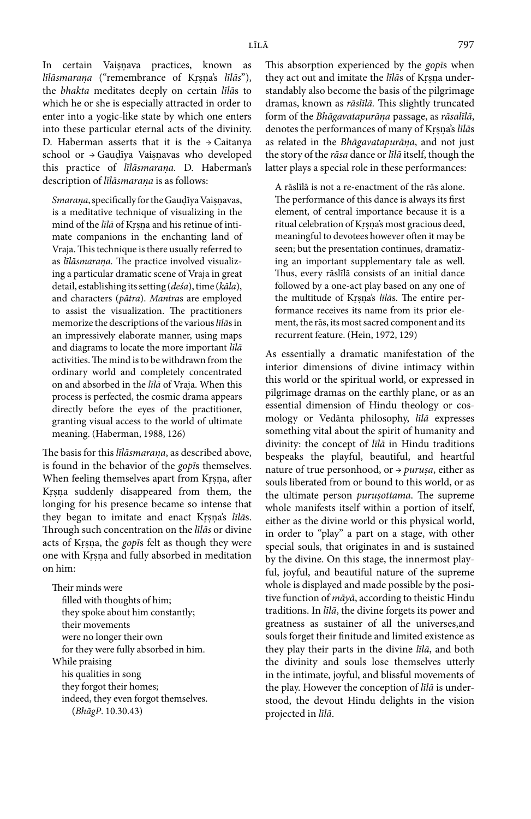In certain Vaisnava practices, known as *līlāsmarana* ("remembrance of Krsna's *līlās*"), the *bhakta* meditates deeply on certain *līlā*s to which he or she is especially attracted in order to enter into a yogic-like state by which one enters into these particular eternal acts of the divinity. D. Haberman asserts that it is the  $\rightarrow$  Caitanya school or  $\rightarrow$  Gaudīya Vaisnavas who developed this practice of *līlāsmarana. ̣* D. Haberman's description of *līlāsmaranạ* is as follows:

*Smarana*, specifically for the Gaudīya Vaisnavas, is a meditative technique of visualizing in the mind of the *līlā* of Krsna and his retinue of intimate companions in the enchanting land of Vraja. This technique is there usually referred to as *līlāsmarana*. The practice involved visualizing a particular dramatic scene of Vraja in great detail, establishing its setting (*deśa*), time (*kāla*), and characters (*pātra*). *Mantra*s are employed to assist the visualization. The practitioners memorize the descriptions of the various *līlā*s in an impressively elaborate manner, using maps and diagrams to locate the more important *līlā* activities. The mind is to be withdrawn from the ordinary world and completely concentrated on and absorbed in the *līlā* of Vraja. When this process is perfected, the cosmic drama appears directly before the eyes of the practitioner, granting visual access to the world of ultimate meaning. (Haberman, 1988, 126)

The basis for this *līlāsmarana*, as described above, is found in the behavior of the *gopī*s themselves. When feeling themselves apart from Krsna, after Krsna suddenly disappeared from them, the longing for his presence became so intense that they began to imitate and enact Krsna's *līlās*. Through such concentration on the *līlās* or divine acts of Krsna, the *gopis* felt as though they were one with Krsna and fully absorbed in meditation on him:

Their minds were filled with thoughts of him; they spoke about him constantly; their movements were no longer their own for they were fully absorbed in him. While praising his qualities in song they forgot their homes; indeed, they even forgot themselves. (*BhāgP*. 10.30.43)

This absorption experienced by the *gopī*s when they act out and imitate the *līlās* of Krsna understandably also become the basis of the pilgrimage dramas, known as *rāslīlā.* This slightly truncated form of the *Bhāgavatapurānạ* passage, as *rāsalīlā*, denotes the performances of many of Krsna's *līlās* as related in the *Bhāgavatapurānạ* , and not just the story of the *rāsa* dance or *līlā* itself, though the latter plays a special role in these performances:

A rāslīlā is not a re-enactment of the rās alone. The performance of this dance is always its first element, of central importance because it is a ritual celebration of Krsna's most gracious deed, meaningful to devotees however often it may be seen; but the presentation continues, dramatizing an important supplementary tale as well. Thus, every rāslīlā consists of an initial dance followed by a one-act play based on any one of the multitude of Krsna's *līlās*. The entire performance receives its name from its prior element, the rās, its most sacred component and its recurrent feature. (Hein, 1972, 129)

As essentially a dramatic manifestation of the interior dimensions of divine intimacy within this world or the spiritual world, or expressed in pilgrimage dramas on the earthly plane, or as an essential dimension of Hindu theology or cosmology or Vedānta philosophy, *līlā* expresses something vital about the spirit of humanity and divinity: the concept of *līlā* in Hindu traditions bespeaks the playful, beautiful, and heartful nature of true personhood, or → *purusạ* , either as souls liberated from or bound to this world, or as the ultimate person *purusottama*. The supreme whole manifests itself within a portion of itself, either as the divine world or this physical world, in order to "play" a part on a stage, with other special souls, that originates in and is sustained by the divine. On this stage, the innermost playful, joyful, and beautiful nature of the supreme whole is displayed and made possible by the positive function of *māyā*, according to theistic Hindu traditions. In *līlā*, the divine forgets its power and greatness as sustainer of all the universes,and souls forget their finitude and limited existence as they play their parts in the divine *līlā*, and both the divinity and souls lose themselves utterly in the intimate, joyful, and blissful movements of the play. However the conception of *līlā* is understood, the devout Hindu delights in the vision projected in *līlā*.